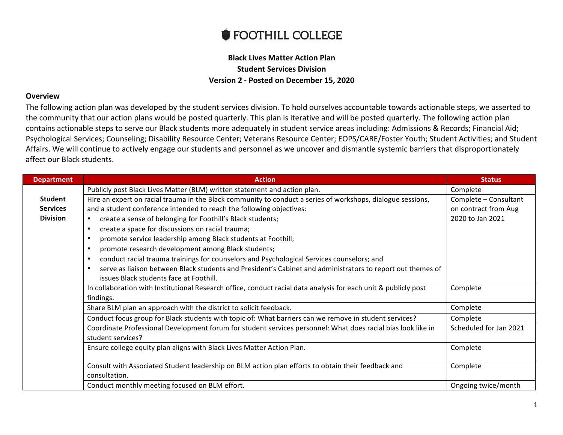## *E* FOOTHILL COLLEGE

## **Black Lives Matter Action Plan Student Services Division Version 2 - Posted on December 15, 2020**

## **Overview**

The following action plan was developed by the student services division. To hold ourselves accountable towards actionable steps, we asserted to the community that our action plans would be posted quarterly. This plan is iterative and will be posted quarterly. The following action plan contains actionable steps to serve our Black students more adequately in student service areas including: Admissions & Records; Financial Aid; Psychological Services; Counseling; Disability Resource Center; Veterans Resource Center; EOPS/CARE/Foster Youth; Student Activities; and Student Affairs. We will continue to actively engage our students and personnel as we uncover and dismantle systemic barriers that disproportionately affect our Black students.

| <b>Department</b> | <b>Action</b>                                                                                                   | <b>Status</b>          |
|-------------------|-----------------------------------------------------------------------------------------------------------------|------------------------|
|                   | Publicly post Black Lives Matter (BLM) written statement and action plan.                                       | Complete               |
| <b>Student</b>    | Hire an expert on racial trauma in the Black community to conduct a series of workshops, dialogue sessions,     | Complete - Consultant  |
| <b>Services</b>   | and a student conference intended to reach the following objectives:                                            | on contract from Aug   |
| <b>Division</b>   | create a sense of belonging for Foothill's Black students;                                                      | 2020 to Jan 2021       |
|                   | create a space for discussions on racial trauma;                                                                |                        |
|                   | promote service leadership among Black students at Foothill;                                                    |                        |
|                   | promote research development among Black students;                                                              |                        |
|                   | conduct racial trauma trainings for counselors and Psychological Services counselors; and                       |                        |
|                   | serve as liaison between Black students and President's Cabinet and administrators to report out themes of      |                        |
|                   | issues Black students face at Foothill.                                                                         |                        |
|                   | In collaboration with Institutional Research office, conduct racial data analysis for each unit & publicly post | Complete               |
|                   | findings.                                                                                                       |                        |
|                   | Share BLM plan an approach with the district to solicit feedback.                                               | Complete               |
|                   | Conduct focus group for Black students with topic of: What barriers can we remove in student services?          | Complete               |
|                   | Coordinate Professional Development forum for student services personnel: What does racial bias look like in    | Scheduled for Jan 2021 |
|                   | student services?                                                                                               |                        |
|                   | Ensure college equity plan aligns with Black Lives Matter Action Plan.                                          | Complete               |
|                   |                                                                                                                 |                        |
|                   | Consult with Associated Student leadership on BLM action plan efforts to obtain their feedback and              | Complete               |
|                   | consultation.                                                                                                   |                        |
|                   | Conduct monthly meeting focused on BLM effort.                                                                  | Ongoing twice/month    |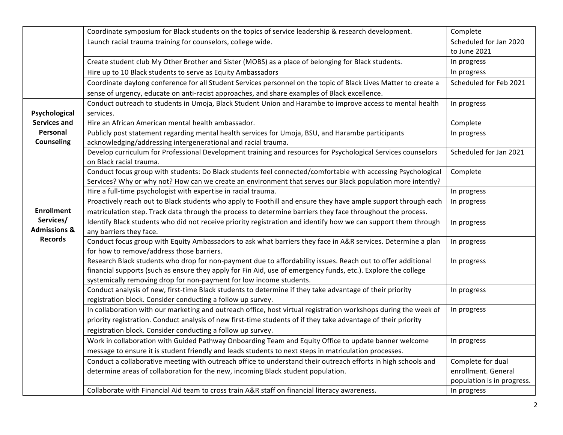|                         | Coordinate symposium for Black students on the topics of service leadership & research development.             | Complete                   |
|-------------------------|-----------------------------------------------------------------------------------------------------------------|----------------------------|
|                         | Launch racial trauma training for counselors, college wide.                                                     | Scheduled for Jan 2020     |
|                         |                                                                                                                 | to June 2021               |
|                         | Create student club My Other Brother and Sister (MOBS) as a place of belonging for Black students.              | In progress                |
|                         | Hire up to 10 Black students to serve as Equity Ambassadors                                                     | In progress                |
|                         | Coordinate daylong conference for all Student Services personnel on the topic of Black Lives Matter to create a | Scheduled for Feb 2021     |
|                         | sense of urgency, educate on anti-racist approaches, and share examples of Black excellence.                    |                            |
|                         | Conduct outreach to students in Umoja, Black Student Union and Harambe to improve access to mental health       | In progress                |
| Psychological           | services.                                                                                                       |                            |
| <b>Services and</b>     | Hire an African American mental health ambassador.                                                              | Complete                   |
| Personal                | Publicly post statement regarding mental health services for Umoja, BSU, and Harambe participants               | In progress                |
| <b>Counseling</b>       | acknowledging/addressing intergenerational and racial trauma.                                                   |                            |
|                         | Develop curriculum for Professional Development training and resources for Psychological Services counselors    | Scheduled for Jan 2021     |
|                         | on Black racial trauma.                                                                                         |                            |
|                         | Conduct focus group with students: Do Black students feel connected/comfortable with accessing Psychological    | Complete                   |
|                         | Services? Why or why not? How can we create an environment that serves our Black population more intently?      |                            |
|                         | Hire a full-time psychologist with expertise in racial trauma.                                                  | In progress                |
|                         | Proactively reach out to Black students who apply to Foothill and ensure they have ample support through each   | In progress                |
| <b>Enrollment</b>       | matriculation step. Track data through the process to determine barriers they face throughout the process.      |                            |
| Services/               | Identify Black students who did not receive priority registration and identify how we can support them through  | In progress                |
| <b>Admissions &amp;</b> | any barriers they face.                                                                                         |                            |
| <b>Records</b>          | Conduct focus group with Equity Ambassadors to ask what barriers they face in A&R services. Determine a plan    | In progress                |
|                         | for how to remove/address those barriers.                                                                       |                            |
|                         | Research Black students who drop for non-payment due to affordability issues. Reach out to offer additional     | In progress                |
|                         | financial supports (such as ensure they apply for Fin Aid, use of emergency funds, etc.). Explore the college   |                            |
|                         | systemically removing drop for non-payment for low income students.                                             |                            |
|                         | Conduct analysis of new, first-time Black students to determine if they take advantage of their priority        | In progress                |
|                         | registration block. Consider conducting a follow up survey.                                                     |                            |
|                         | In collaboration with our marketing and outreach office, host virtual registration workshops during the week of | In progress                |
|                         | priority registration. Conduct analysis of new first-time students of if they take advantage of their priority  |                            |
|                         | registration block. Consider conducting a follow up survey.                                                     |                            |
|                         | Work in collaboration with Guided Pathway Onboarding Team and Equity Office to update banner welcome            | In progress                |
|                         | message to ensure it is student friendly and leads students to next steps in matriculation processes.           |                            |
|                         | Conduct a collaborative meeting with outreach office to understand their outreach efforts in high schools and   | Complete for dual          |
|                         | determine areas of collaboration for the new, incoming Black student population.                                | enrollment. General        |
|                         |                                                                                                                 | population is in progress. |
|                         | Collaborate with Financial Aid team to cross train A&R staff on financial literacy awareness.                   | In progress                |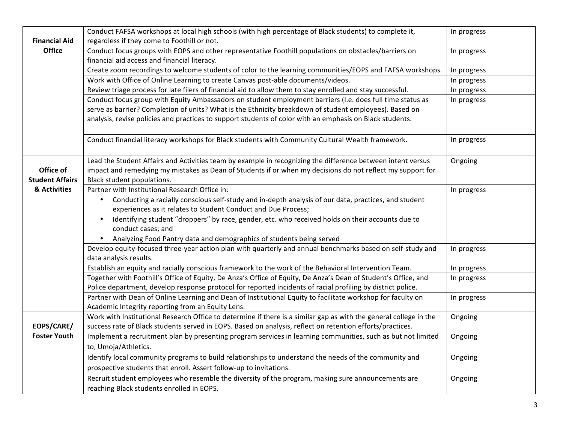|                        | Conduct FAFSA workshops at local high schools (with high percentage of Black students) to complete it,                                                | In progress |
|------------------------|-------------------------------------------------------------------------------------------------------------------------------------------------------|-------------|
| <b>Financial Aid</b>   | regardless if they come to Foothill or not.                                                                                                           |             |
| <b>Office</b>          | Conduct focus groups with EOPS and other representative Foothill populations on obstacles/barriers on<br>financial aid access and financial literacy. | In progress |
|                        | Create zoom recordings to welcome students of color to the learning communities/EOPS and FAFSA workshops.                                             | In progress |
|                        | Work with Office of Online Learning to create Canvas post-able documents/videos.                                                                      | In progress |
|                        | Review triage process for late filers of financial aid to allow them to stay enrolled and stay successful.                                            |             |
|                        | Conduct focus group with Equity Ambassadors on student employment barriers (I.e. does full time status as                                             | In progress |
|                        |                                                                                                                                                       | In progress |
|                        | serve as barrier? Completion of units? What is the Ethnicity breakdown of student employees). Based on                                                |             |
|                        | analysis, revise policies and practices to support students of color with an emphasis on Black students.                                              |             |
|                        |                                                                                                                                                       |             |
|                        | Conduct financial literacy workshops for Black students with Community Cultural Wealth framework.                                                     | In progress |
|                        |                                                                                                                                                       |             |
|                        | Lead the Student Affairs and Activities team by example in recognizing the difference between intent versus                                           | Ongoing     |
| Office of              | impact and remedying my mistakes as Dean of Students if or when my decisions do not reflect my support for                                            |             |
| <b>Student Affairs</b> | Black student populations.                                                                                                                            |             |
| & Activities           | Partner with Institutional Research Office in:                                                                                                        | In progress |
|                        | Conducting a racially conscious self-study and in-depth analysis of our data, practices, and student<br>$\bullet$                                     |             |
|                        | experiences as it relates to Student Conduct and Due Process;                                                                                         |             |
|                        | Identifying student "droppers" by race, gender, etc. who received holds on their accounts due to<br>$\bullet$                                         |             |
|                        | conduct cases; and                                                                                                                                    |             |
|                        | Analyzing Food Pantry data and demographics of students being served<br>$\bullet$                                                                     |             |
|                        | Develop equity-focused three-year action plan with quarterly and annual benchmarks based on self-study and                                            | In progress |
|                        | data analysis results.                                                                                                                                |             |
|                        | Establish an equity and racially conscious framework to the work of the Behavioral Intervention Team.                                                 | In progress |
|                        | Together with Foothill's Office of Equity, De Anza's Office of Equity, De Anza's Dean of Student's Office, and                                        | In progress |
|                        | Police department, develop response protocol for reported incidents of racial profiling by district police.                                           |             |
|                        | Partner with Dean of Online Learning and Dean of Institutional Equity to facilitate workshop for faculty on                                           | In progress |
|                        | Academic Integrity reporting from an Equity Lens.                                                                                                     |             |
|                        | Work with Institutional Research Office to determine if there is a similar gap as with the general college in the                                     | Ongoing     |
| EOPS/CARE/             | success rate of Black students served in EOPS. Based on analysis, reflect on retention efforts/practices.                                             |             |
| <b>Foster Youth</b>    | Implement a recruitment plan by presenting program services in learning communities, such as but not limited                                          | Ongoing     |
|                        | to, Umoja/Athletics.                                                                                                                                  |             |
|                        | Identify local community programs to build relationships to understand the needs of the community and                                                 | Ongoing     |
|                        | prospective students that enroll. Assert follow-up to invitations.                                                                                    |             |
|                        | Recruit student employees who resemble the diversity of the program, making sure announcements are                                                    | Ongoing     |
|                        | reaching Black students enrolled in EOPS.                                                                                                             |             |